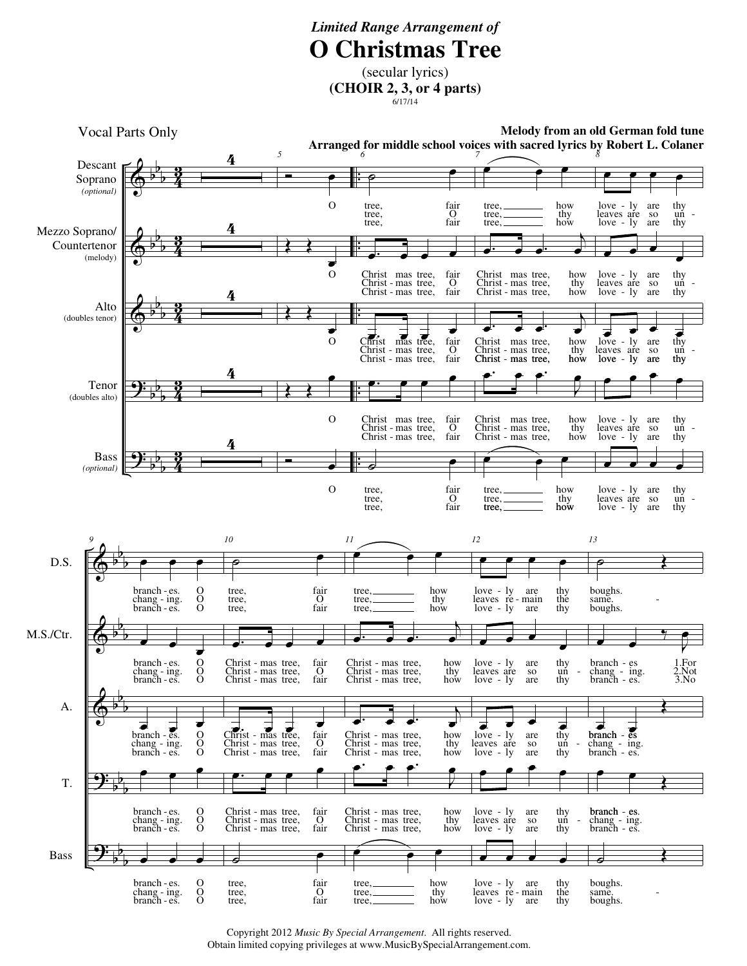## *Limited Range Arrangement of* **O Christmas Tree**

(secular lyrics) **(CHOIR 2, 3, or 4 parts)**  $6/17/14$ 



Copyright 2012 *Music By Special Arrangement*. All rights reserved. Obtain limited copying privileges at www.MusicBySpecialArrangement.com.